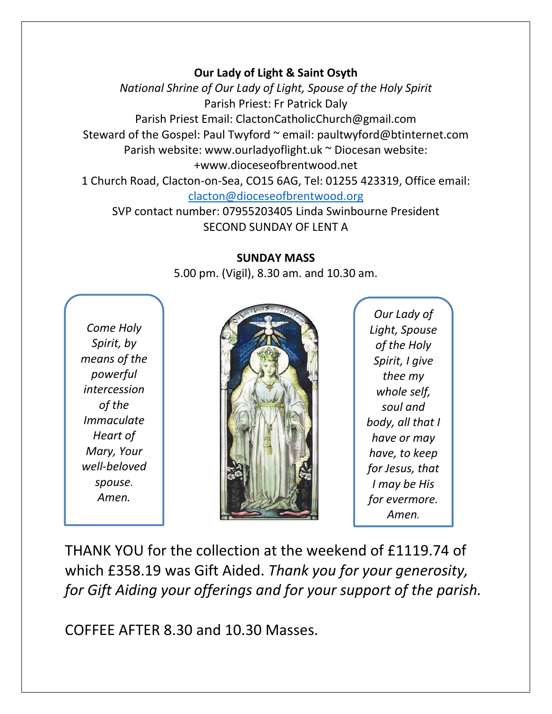## **Our Lady of Light & Saint Osyth**

*National Shrine of Our Lady of Light, Spouse of the Holy Spirit* Parish Priest: Fr Patrick Daly Parish Priest Email: ClactonCatholicChurch@gmail.com Steward of the Gospel: Paul Twyford ~ email: paultwyford@btinternet.com Parish website: www.ourladyoflight.uk ~ Diocesan website: +www.dioceseofbrentwood.net 1 Church Road, Clacton-on-Sea, CO15 6AG, Tel: 01255 423319, Office email: [clacton@dioceseofbrentwood.org](mailto:clacton@dioceseofbrentwood.org)

SVP contact number: 07955203405 Linda Swinbourne President SECOND SUNDAY OF LENT A

## **SUNDAY MASS**

5.00 pm. (Vigil), 8.30 am. and 10.30 am.

*Come Holy Spirit, by means of the powerful intercession of the Immaculate Heart of Mary, Your well-beloved spouse. Amen.*



*Our Lady of Light, Spouse of the Holy Spirit, I give thee my whole self, soul and body, all that I have or may have, to keep for Jesus, that I may be His for evermore. Amen.*

THANK YOU for the collection at the weekend of £1119.74 of which £358.19 was Gift Aided. *Thank you for your generosity, for Gift Aiding your offerings and for your support of the parish.*

COFFEE AFTER 8.30 and 10.30 Masses.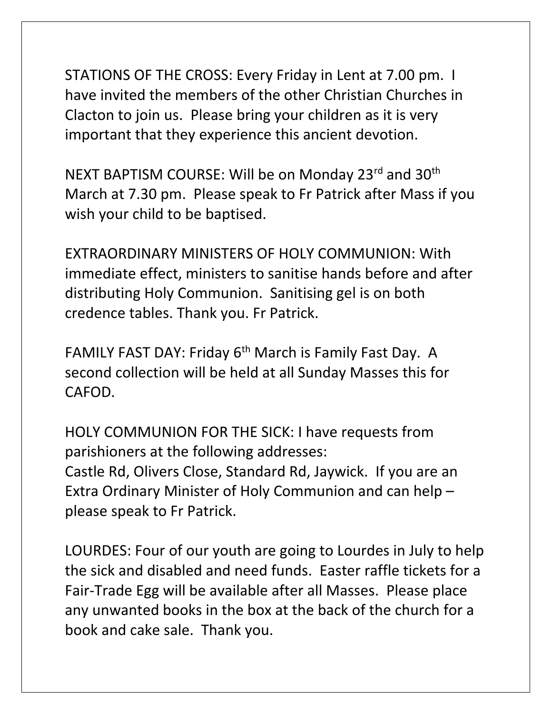STATIONS OF THE CROSS: Every Friday in Lent at 7.00 pm. I have invited the members of the other Christian Churches in Clacton to join us. Please bring your children as it is very important that they experience this ancient devotion.

NEXT BAPTISM COURSE: Will be on Monday 23rd and 30<sup>th</sup> March at 7.30 pm. Please speak to Fr Patrick after Mass if you wish your child to be baptised.

EXTRAORDINARY MINISTERS OF HOLY COMMUNION: With immediate effect, ministers to sanitise hands before and after distributing Holy Communion. Sanitising gel is on both credence tables. Thank you. Fr Patrick.

FAMILY FAST DAY: Friday 6<sup>th</sup> March is Family Fast Day. A second collection will be held at all Sunday Masses this for CAFOD.

HOLY COMMUNION FOR THE SICK: I have requests from parishioners at the following addresses: Castle Rd, Olivers Close, Standard Rd, Jaywick. If you are an Extra Ordinary Minister of Holy Communion and can help – please speak to Fr Patrick.

LOURDES: Four of our youth are going to Lourdes in July to help the sick and disabled and need funds. Easter raffle tickets for a Fair-Trade Egg will be available after all Masses. Please place any unwanted books in the box at the back of the church for a book and cake sale. Thank you.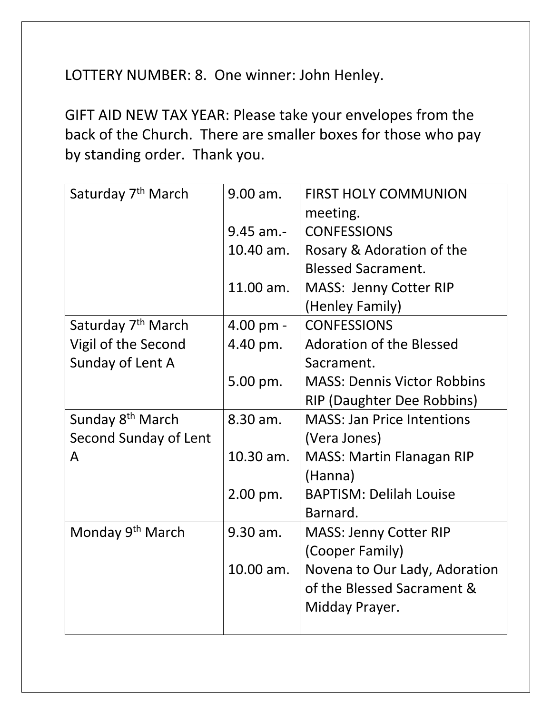LOTTERY NUMBER: 8. One winner: John Henley.

GIFT AID NEW TAX YEAR: Please take your envelopes from the back of the Church. There are smaller boxes for those who pay by standing order. Thank you.

| Saturday 7 <sup>th</sup> March | 9.00 am.      | <b>FIRST HOLY COMMUNION</b>        |
|--------------------------------|---------------|------------------------------------|
|                                |               | meeting.                           |
|                                | $9.45$ am.-   | <b>CONFESSIONS</b>                 |
|                                | 10.40 am.     | Rosary & Adoration of the          |
|                                |               | <b>Blessed Sacrament.</b>          |
|                                | 11.00 am.     | <b>MASS: Jenny Cotter RIP</b>      |
|                                |               | (Henley Family)                    |
| Saturday 7 <sup>th</sup> March | $4.00$ pm $-$ | <b>CONFESSIONS</b>                 |
| Vigil of the Second            | 4.40 pm.      | <b>Adoration of the Blessed</b>    |
| Sunday of Lent A               |               | Sacrament.                         |
|                                | 5.00 pm.      | <b>MASS: Dennis Victor Robbins</b> |
|                                |               | RIP (Daughter Dee Robbins)         |
| Sunday 8 <sup>th</sup> March   | 8.30 am.      | <b>MASS: Jan Price Intentions</b>  |
| Second Sunday of Lent          |               | (Vera Jones)                       |
| A                              | 10.30 am.     | <b>MASS: Martin Flanagan RIP</b>   |
|                                |               | (Hanna)                            |
|                                | $2.00$ pm.    | <b>BAPTISM: Delilah Louise</b>     |
|                                |               | Barnard.                           |
| Monday 9 <sup>th</sup> March   | 9.30 am.      | <b>MASS: Jenny Cotter RIP</b>      |
|                                |               | (Cooper Family)                    |
|                                | 10.00 am.     | Novena to Our Lady, Adoration      |
|                                |               | of the Blessed Sacrament &         |
|                                |               | Midday Prayer.                     |
|                                |               |                                    |